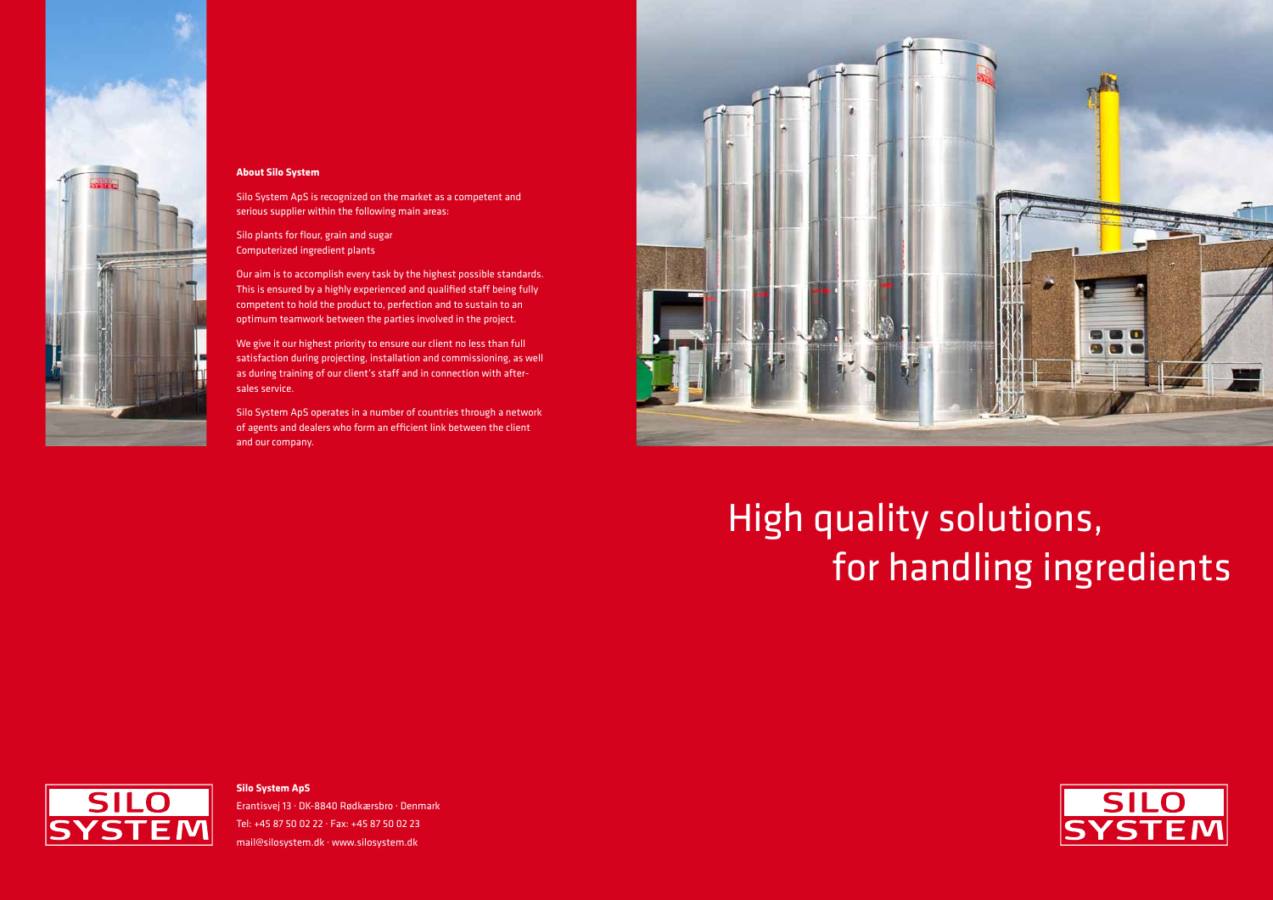#### **Silo System ApS**

Erantisvej 13 · DK-8840 Rødkærsbro · Denmark Tel: +45 87 50 02 22 · Fax: +45 87 50 02 23 mail@silosystem.dk · www.silosystem.dk





#### **About Silo System**

Silo System ApS is recognized on the market as a competent and serious supplier within the following main areas:

Silo plants for flour, grain and sugar Computerized ingredient plants

Our aim is to accomplish every task by the highest possible standards. This is ensured by a highly experienced and qualified staff being fully competent to hold the product to, perfection and to sustain to an optimum teamwork between the parties involved in the project.

We give it our highest priority to ensure our client no less than full satisfaction during projecting, installation and commissioning, as well as during training of our client's staff and in connection with aftersales service.

Silo System ApS operates in a number of countries through a network of agents and dealers who form an efficient link between the client and our company.



## High quality solutions, for handling ingredients